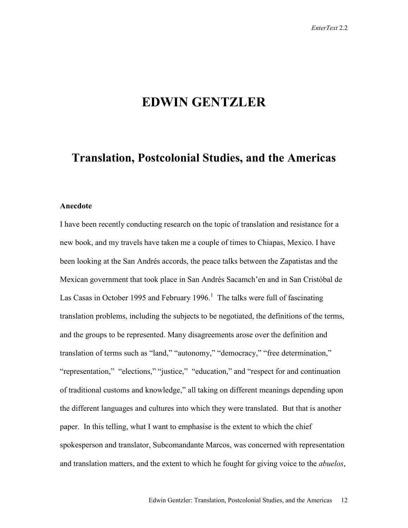# **EDWIN GENTZLER**

# **Translation, Postcolonial Studies, and the Americas**

### **Anecdote**

I have been recently conducting research on the topic of translation and resistance for a new book, and my travels have taken me a couple of times to Chiapas, Mexico. I have been looking at the San Andrés accords, the peace talks between the Zapatistas and the Mexican government that took place in San Andrés Sacamch'en and in San Cristóbal de Las Casas in October 1995 and February 1996.<sup>1</sup> The talks were full of fascinating translation problems, including the subjects to be negotiated, the definitions of the terms, and the groups to be represented. Many disagreements arose over the definition and translation of terms such as "land," "autonomy," "democracy," "free determination," "representation," "elections," "justice," "education," and "respect for and continuation of traditional customs and knowledge," all taking on different meanings depending upon the different languages and cultures into which they were translated. But that is another paper. In this telling, what I want to emphasise is the extent to which the chief spokesperson and translator, Subcomandante Marcos, was concerned with representation and translation matters, and the extent to which he fought for giving voice to the *abuelos*,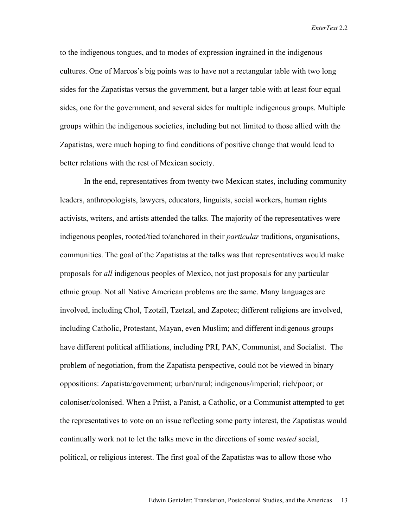to the indigenous tongues, and to modes of expression ingrained in the indigenous cultures. One of Marcos's big points was to have not a rectangular table with two long sides for the Zapatistas versus the government, but a larger table with at least four equal sides, one for the government, and several sides for multiple indigenous groups. Multiple groups within the indigenous societies, including but not limited to those allied with the Zapatistas, were much hoping to find conditions of positive change that would lead to better relations with the rest of Mexican society.

 In the end, representatives from twenty-two Mexican states, including community leaders, anthropologists, lawyers, educators, linguists, social workers, human rights activists, writers, and artists attended the talks. The majority of the representatives were indigenous peoples, rooted/tied to/anchored in their *particular* traditions, organisations, communities. The goal of the Zapatistas at the talks was that representatives would make proposals for *all* indigenous peoples of Mexico, not just proposals for any particular ethnic group. Not all Native American problems are the same. Many languages are involved, including Chol, Tzotzil, Tzetzal, and Zapotec; different religions are involved, including Catholic, Protestant, Mayan, even Muslim; and different indigenous groups have different political affiliations, including PRI, PAN, Communist, and Socialist. The problem of negotiation, from the Zapatista perspective, could not be viewed in binary oppositions: Zapatista/government; urban/rural; indigenous/imperial; rich/poor; or coloniser/colonised. When a Priist, a Panist, a Catholic, or a Communist attempted to get the representatives to vote on an issue reflecting some party interest, the Zapatistas would continually work not to let the talks move in the directions of some *vested* social, political, or religious interest. The first goal of the Zapatistas was to allow those who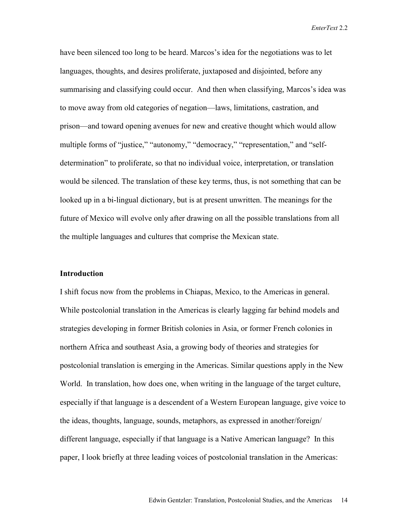have been silenced too long to be heard. Marcos's idea for the negotiations was to let languages, thoughts, and desires proliferate, juxtaposed and disjointed, before any summarising and classifying could occur. And then when classifying, Marcos's idea was to move away from old categories of negation—laws, limitations, castration, and prison—and toward opening avenues for new and creative thought which would allow multiple forms of "justice," "autonomy," "democracy," "representation," and "selfdetermination" to proliferate, so that no individual voice, interpretation, or translation would be silenced. The translation of these key terms, thus, is not something that can be looked up in a bi-lingual dictionary, but is at present unwritten. The meanings for the future of Mexico will evolve only after drawing on all the possible translations from all the multiple languages and cultures that comprise the Mexican state.

### **Introduction**

I shift focus now from the problems in Chiapas, Mexico, to the Americas in general. While postcolonial translation in the Americas is clearly lagging far behind models and strategies developing in former British colonies in Asia, or former French colonies in northern Africa and southeast Asia, a growing body of theories and strategies for postcolonial translation is emerging in the Americas. Similar questions apply in the New World. In translation, how does one, when writing in the language of the target culture, especially if that language is a descendent of a Western European language, give voice to the ideas, thoughts, language, sounds, metaphors, as expressed in another/foreign/ different language, especially if that language is a Native American language? In this paper, I look briefly at three leading voices of postcolonial translation in the Americas: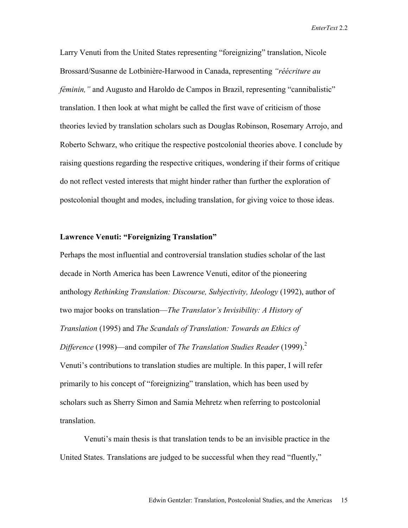Larry Venuti from the United States representing "foreignizing" translation, Nicole Brossard/Susanne de Lotbinière-Harwood in Canada, representing *"réécriture au féminin,*" and Augusto and Haroldo de Campos in Brazil, representing "cannibalistic" translation. I then look at what might be called the first wave of criticism of those theories levied by translation scholars such as Douglas Robinson, Rosemary Arrojo, and Roberto Schwarz, who critique the respective postcolonial theories above. I conclude by raising questions regarding the respective critiques, wondering if their forms of critique do not reflect vested interests that might hinder rather than further the exploration of postcolonial thought and modes, including translation, for giving voice to those ideas.

#### **Lawrence Venuti: "Foreignizing Translation"**

Perhaps the most influential and controversial translation studies scholar of the last decade in North America has been Lawrence Venuti, editor of the pioneering anthology *Rethinking Translation: Discourse, Subjectivity, Ideology* (1992), author of two major books on translation—*The Translator's Invisibility: A History of Translation* (1995) and *The Scandals of Translation: Towards an Ethics of Difference* (1998)—and compiler of *The Translation Studies Reader* (1999).<sup>2</sup> Venuti's contributions to translation studies are multiple. In this paper, I will refer primarily to his concept of "foreignizing" translation, which has been used by scholars such as Sherry Simon and Samia Mehretz when referring to postcolonial translation.

Venuti's main thesis is that translation tends to be an invisible practice in the United States. Translations are judged to be successful when they read "fluently,"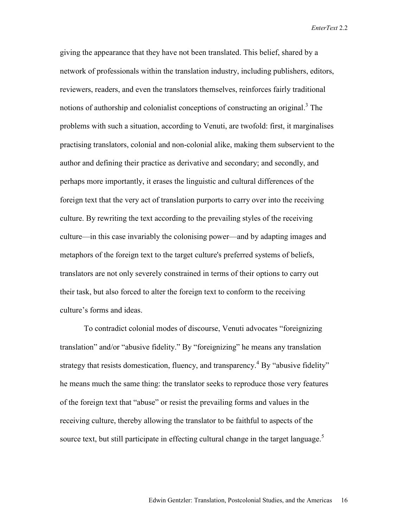giving the appearance that they have not been translated. This belief, shared by a network of professionals within the translation industry, including publishers, editors, reviewers, readers, and even the translators themselves, reinforces fairly traditional notions of authorship and colonialist conceptions of constructing an original.<sup>3</sup> The problems with such a situation, according to Venuti, are twofold: first, it marginalises practising translators, colonial and non-colonial alike, making them subservient to the author and defining their practice as derivative and secondary; and secondly, and perhaps more importantly, it erases the linguistic and cultural differences of the foreign text that the very act of translation purports to carry over into the receiving culture. By rewriting the text according to the prevailing styles of the receiving culture—in this case invariably the colonising power—and by adapting images and metaphors of the foreign text to the target culture's preferred systems of beliefs, translators are not only severely constrained in terms of their options to carry out their task, but also forced to alter the foreign text to conform to the receiving culture's forms and ideas.

To contradict colonial modes of discourse, Venuti advocates "foreignizing translation" and/or "abusive fidelity." By "foreignizing" he means any translation strategy that resists domestication, fluency, and transparency.<sup>4</sup> By "abusive fidelity" he means much the same thing: the translator seeks to reproduce those very features of the foreign text that "abuse" or resist the prevailing forms and values in the receiving culture, thereby allowing the translator to be faithful to aspects of the source text, but still participate in effecting cultural change in the target language.<sup>5</sup>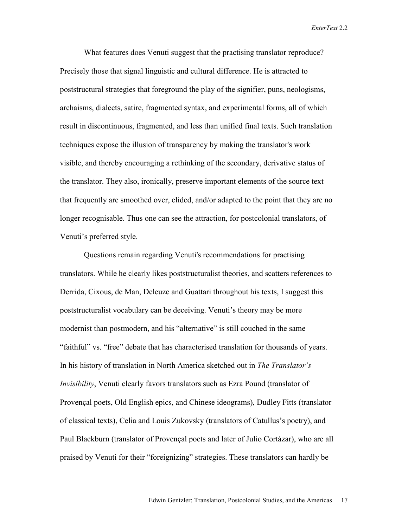What features does Venuti suggest that the practising translator reproduce? Precisely those that signal linguistic and cultural difference. He is attracted to poststructural strategies that foreground the play of the signifier, puns, neologisms, archaisms, dialects, satire, fragmented syntax, and experimental forms, all of which result in discontinuous, fragmented, and less than unified final texts. Such translation techniques expose the illusion of transparency by making the translator's work visible, and thereby encouraging a rethinking of the secondary, derivative status of the translator. They also, ironically, preserve important elements of the source text that frequently are smoothed over, elided, and/or adapted to the point that they are no longer recognisable. Thus one can see the attraction, for postcolonial translators, of Venuti's preferred style.

Questions remain regarding Venuti's recommendations for practising translators. While he clearly likes poststructuralist theories, and scatters references to Derrida, Cixous, de Man, Deleuze and Guattari throughout his texts, I suggest this poststructuralist vocabulary can be deceiving. Venuti's theory may be more modernist than postmodern, and his "alternative" is still couched in the same "faithful" vs. "free" debate that has characterised translation for thousands of years. In his history of translation in North America sketched out in *The Translator's Invisibility*, Venuti clearly favors translators such as Ezra Pound (translator of Provençal poets, Old English epics, and Chinese ideograms), Dudley Fitts (translator of classical texts), Celia and Louis Zukovsky (translators of Catullus's poetry), and Paul Blackburn (translator of Provençal poets and later of Julio Cortázar), who are all praised by Venuti for their "foreignizing" strategies. These translators can hardly be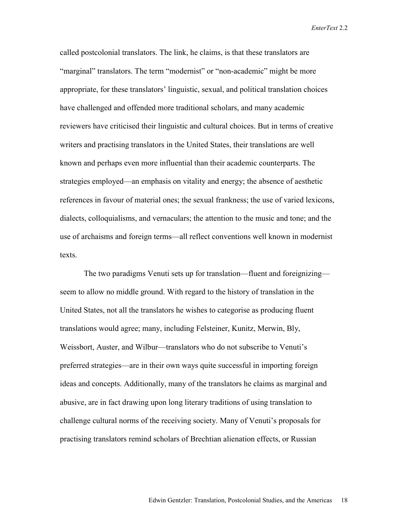called postcolonial translators. The link, he claims, is that these translators are "marginal" translators. The term "modernist" or "non-academic" might be more appropriate, for these translators' linguistic, sexual, and political translation choices have challenged and offended more traditional scholars, and many academic reviewers have criticised their linguistic and cultural choices. But in terms of creative writers and practising translators in the United States, their translations are well known and perhaps even more influential than their academic counterparts. The strategies employed—an emphasis on vitality and energy; the absence of aesthetic references in favour of material ones; the sexual frankness; the use of varied lexicons, dialects, colloquialisms, and vernaculars; the attention to the music and tone; and the use of archaisms and foreign terms—all reflect conventions well known in modernist texts.

The two paradigms Venuti sets up for translation—fluent and foreignizing seem to allow no middle ground. With regard to the history of translation in the United States, not all the translators he wishes to categorise as producing fluent translations would agree; many, including Felsteiner, Kunitz, Merwin, Bly, Weissbort, Auster, and Wilbur—translators who do not subscribe to Venuti's preferred strategies—are in their own ways quite successful in importing foreign ideas and concepts. Additionally, many of the translators he claims as marginal and abusive, are in fact drawing upon long literary traditions of using translation to challenge cultural norms of the receiving society. Many of Venuti's proposals for practising translators remind scholars of Brechtian alienation effects, or Russian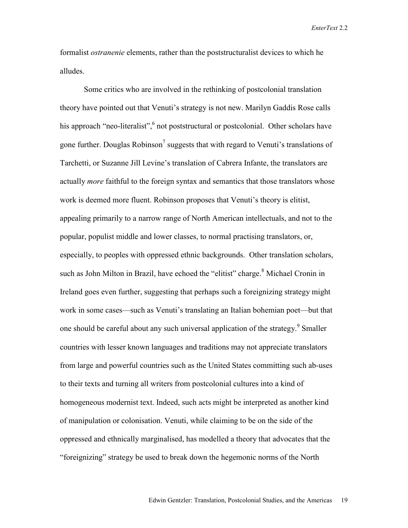formalist *ostranenie* elements, rather than the poststructuralist devices to which he alludes.

Some critics who are involved in the rethinking of postcolonial translation theory have pointed out that Venuti's strategy is not new. Marilyn Gaddis Rose calls his approach "neo-literalist", not poststructural or postcolonial. Other scholars have gone further. Douglas Robinson<sup>7</sup> suggests that with regard to Venuti's translations of Tarchetti, or Suzanne Jill Levine's translation of Cabrera Infante, the translators are actually *more* faithful to the foreign syntax and semantics that those translators whose work is deemed more fluent. Robinson proposes that Venuti's theory is elitist, appealing primarily to a narrow range of North American intellectuals, and not to the popular, populist middle and lower classes, to normal practising translators, or, especially, to peoples with oppressed ethnic backgrounds. Other translation scholars, such as John Milton in Brazil, have echoed the "elitist" charge.<sup>8</sup> Michael Cronin in Ireland goes even further, suggesting that perhaps such a foreignizing strategy might work in some cases—such as Venuti's translating an Italian bohemian poet—but that one should be careful about any such universal application of the strategy.<sup>9</sup> Smaller countries with lesser known languages and traditions may not appreciate translators from large and powerful countries such as the United States committing such ab-uses to their texts and turning all writers from postcolonial cultures into a kind of homogeneous modernist text. Indeed, such acts might be interpreted as another kind of manipulation or colonisation. Venuti, while claiming to be on the side of the oppressed and ethnically marginalised, has modelled a theory that advocates that the "foreignizing" strategy be used to break down the hegemonic norms of the North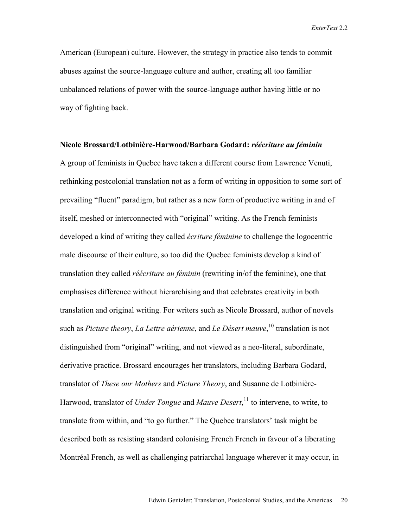American (European) culture. However, the strategy in practice also tends to commit abuses against the source-language culture and author, creating all too familiar unbalanced relations of power with the source-language author having little or no way of fighting back.

#### **Nicole Brossard/Lotbinière-Harwood/Barbara Godard:** *réécriture au féminin*

A group of feminists in Quebec have taken a different course from Lawrence Venuti, rethinking postcolonial translation not as a form of writing in opposition to some sort of prevailing "fluent" paradigm, but rather as a new form of productive writing in and of itself, meshed or interconnected with "original" writing. As the French feminists developed a kind of writing they called *écriture féminine* to challenge the logocentric male discourse of their culture, so too did the Quebec feminists develop a kind of translation they called *réécriture au féminin* (rewriting in/of the feminine), one that emphasises difference without hierarchising and that celebrates creativity in both translation and original writing. For writers such as Nicole Brossard, author of novels such as *Picture theory*, *La Lettre aérienne*, and *Le Désert mauve*, 10 translation is not distinguished from "original" writing, and not viewed as a neo-literal, subordinate, derivative practice. Brossard encourages her translators, including Barbara Godard, translator of *These our Mothers* and *Picture Theory*, and Susanne de Lotbinière-Harwood, translator of *Under Tongue* and *Mauve Desert*, 11 to intervene, to write, to translate from within, and "to go further." The Quebec translators' task might be described both as resisting standard colonising French French in favour of a liberating Montréal French, as well as challenging patriarchal language wherever it may occur, in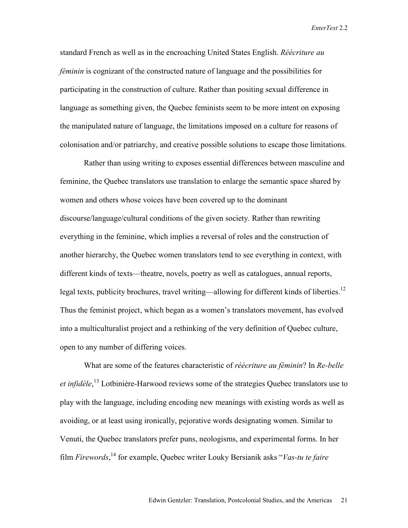standard French as well as in the encroaching United States English. *Réécriture au féminin* is cognizant of the constructed nature of language and the possibilities for participating in the construction of culture. Rather than positing sexual difference in language as something given, the Quebec feminists seem to be more intent on exposing the manipulated nature of language, the limitations imposed on a culture for reasons of colonisation and/or patriarchy, and creative possible solutions to escape those limitations.

Rather than using writing to exposes essential differences between masculine and feminine, the Quebec translators use translation to enlarge the semantic space shared by women and others whose voices have been covered up to the dominant discourse/language/cultural conditions of the given society. Rather than rewriting everything in the feminine, which implies a reversal of roles and the construction of another hierarchy, the Quebec women translators tend to see everything in context, with different kinds of texts—theatre, novels, poetry as well as catalogues, annual reports, legal texts, publicity brochures, travel writing—allowing for different kinds of liberties.<sup>12</sup> Thus the feminist project, which began as a women's translators movement, has evolved into a multiculturalist project and a rethinking of the very definition of Quebec culture, open to any number of differing voices.

What are some of the features characteristic of *réécriture au féminin*? In *Re-belle et infidèle*, 13 Lotbinière-Harwood reviews some of the strategies Quebec translators use to play with the language, including encoding new meanings with existing words as well as avoiding, or at least using ironically, pejorative words designating women. Similar to Venuti, the Quebec translators prefer puns, neologisms, and experimental forms. In her film *Firewords*, 14 for example, Quebec writer Louky Bersianik asks "*Vas-tu te faire*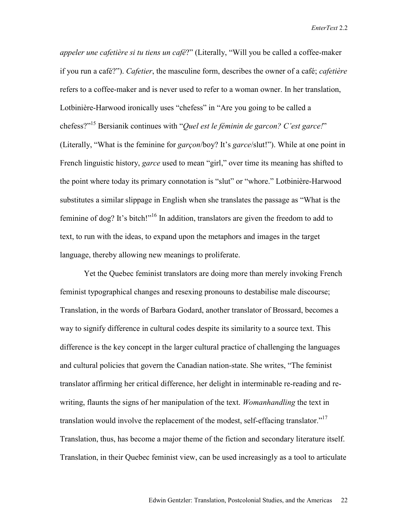*appeler une cafetière si tu tiens un café*?" (Literally, "Will you be called a coffee-maker if you run a café?"). *Cafetier*, the masculine form, describes the owner of a café; *cafetière* refers to a coffee-maker and is never used to refer to a woman owner. In her translation, Lotbinière-Harwood ironically uses "chefess" in "Are you going to be called a chefess?"15 Bersianik continues with "*Quel est le féminin de garcon? C'est garce!*" (Literally, "What is the feminine for *garçon*/boy? It's *garce*/slut!"). While at one point in French linguistic history, *garce* used to mean "girl," over time its meaning has shifted to the point where today its primary connotation is "slut" or "whore." Lotbinière-Harwood substitutes a similar slippage in English when she translates the passage as "What is the feminine of dog? It's bitch!"<sup>16</sup> In addition, translators are given the freedom to add to text, to run with the ideas, to expand upon the metaphors and images in the target language, thereby allowing new meanings to proliferate.

Yet the Quebec feminist translators are doing more than merely invoking French feminist typographical changes and resexing pronouns to destabilise male discourse; Translation, in the words of Barbara Godard, another translator of Brossard, becomes a way to signify difference in cultural codes despite its similarity to a source text. This difference is the key concept in the larger cultural practice of challenging the languages and cultural policies that govern the Canadian nation-state. She writes, "The feminist translator affirming her critical difference, her delight in interminable re-reading and rewriting, flaunts the signs of her manipulation of the text. *Womanhandling* the text in translation would involve the replacement of the modest, self-effacing translator."<sup>17</sup> Translation, thus, has become a major theme of the fiction and secondary literature itself. Translation, in their Quebec feminist view, can be used increasingly as a tool to articulate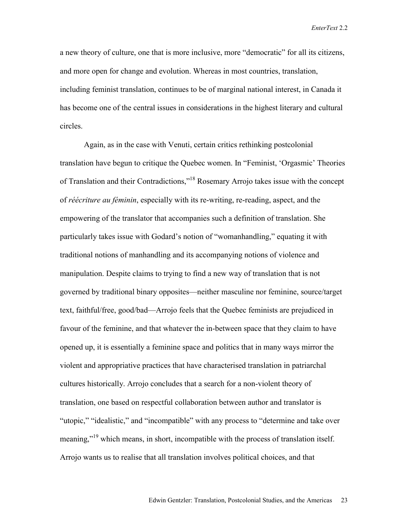a new theory of culture, one that is more inclusive, more "democratic" for all its citizens, and more open for change and evolution. Whereas in most countries, translation, including feminist translation, continues to be of marginal national interest, in Canada it has become one of the central issues in considerations in the highest literary and cultural circles.

Again, as in the case with Venuti, certain critics rethinking postcolonial translation have begun to critique the Quebec women. In "Feminist, 'Orgasmic' Theories of Translation and their Contradictions."<sup>18</sup> Rosemary Arrojo takes issue with the concept of *réécriture au féminin*, especially with its re-writing, re-reading, aspect, and the empowering of the translator that accompanies such a definition of translation. She particularly takes issue with Godard's notion of "womanhandling," equating it with traditional notions of manhandling and its accompanying notions of violence and manipulation. Despite claims to trying to find a new way of translation that is not governed by traditional binary opposites—neither masculine nor feminine, source/target text, faithful/free, good/bad—Arrojo feels that the Quebec feminists are prejudiced in favour of the feminine, and that whatever the in-between space that they claim to have opened up, it is essentially a feminine space and politics that in many ways mirror the violent and appropriative practices that have characterised translation in patriarchal cultures historically. Arrojo concludes that a search for a non-violent theory of translation, one based on respectful collaboration between author and translator is "utopic," "idealistic," and "incompatible" with any process to "determine and take over meaning,"19 which means, in short, incompatible with the process of translation itself. Arrojo wants us to realise that all translation involves political choices, and that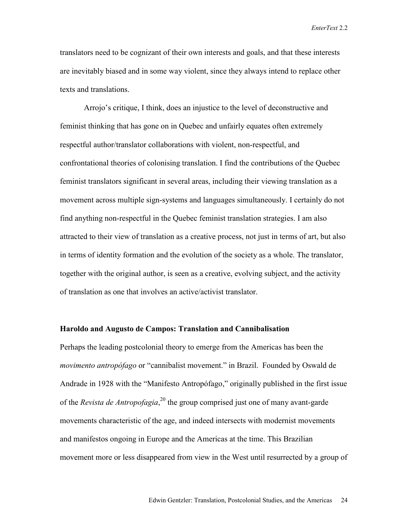translators need to be cognizant of their own interests and goals, and that these interests are inevitably biased and in some way violent, since they always intend to replace other texts and translations.

 Arrojo's critique, I think, does an injustice to the level of deconstructive and feminist thinking that has gone on in Quebec and unfairly equates often extremely respectful author/translator collaborations with violent, non-respectful, and confrontational theories of colonising translation. I find the contributions of the Quebec feminist translators significant in several areas, including their viewing translation as a movement across multiple sign-systems and languages simultaneously. I certainly do not find anything non-respectful in the Quebec feminist translation strategies. I am also attracted to their view of translation as a creative process, not just in terms of art, but also in terms of identity formation and the evolution of the society as a whole. The translator, together with the original author, is seen as a creative, evolving subject, and the activity of translation as one that involves an active/activist translator.

## **Haroldo and Augusto de Campos: Translation and Cannibalisation**

Perhaps the leading postcolonial theory to emerge from the Americas has been the *movimento antropófago* or "cannibalist movement." in Brazil. Founded by Oswald de Andrade in 1928 with the "Manifesto Antropófago," originally published in the first issue of the *Revista de Antropofagia*, 20 the group comprised just one of many avant-garde movements characteristic of the age, and indeed intersects with modernist movements and manifestos ongoing in Europe and the Americas at the time. This Brazilian movement more or less disappeared from view in the West until resurrected by a group of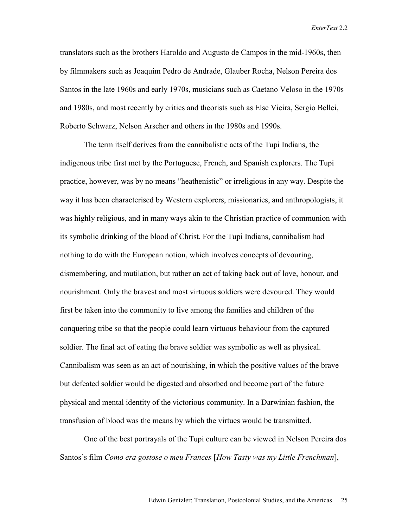translators such as the brothers Haroldo and Augusto de Campos in the mid-1960s, then by filmmakers such as Joaquim Pedro de Andrade, Glauber Rocha, Nelson Pereira dos Santos in the late 1960s and early 1970s, musicians such as Caetano Veloso in the 1970s and 1980s, and most recently by critics and theorists such as Else Vieira, Sergio Bellei, Roberto Schwarz, Nelson Arscher and others in the 1980s and 1990s.

The term itself derives from the cannibalistic acts of the Tupi Indians, the indigenous tribe first met by the Portuguese, French, and Spanish explorers. The Tupi practice, however, was by no means "heathenistic" or irreligious in any way. Despite the way it has been characterised by Western explorers, missionaries, and anthropologists, it was highly religious, and in many ways akin to the Christian practice of communion with its symbolic drinking of the blood of Christ. For the Tupi Indians, cannibalism had nothing to do with the European notion, which involves concepts of devouring, dismembering, and mutilation, but rather an act of taking back out of love, honour, and nourishment. Only the bravest and most virtuous soldiers were devoured. They would first be taken into the community to live among the families and children of the conquering tribe so that the people could learn virtuous behaviour from the captured soldier. The final act of eating the brave soldier was symbolic as well as physical. Cannibalism was seen as an act of nourishing, in which the positive values of the brave but defeated soldier would be digested and absorbed and become part of the future physical and mental identity of the victorious community. In a Darwinian fashion, the transfusion of blood was the means by which the virtues would be transmitted.

One of the best portrayals of the Tupi culture can be viewed in Nelson Pereira dos Santos's film *Como era gostose o meu Frances* [*How Tasty was my Little Frenchman*],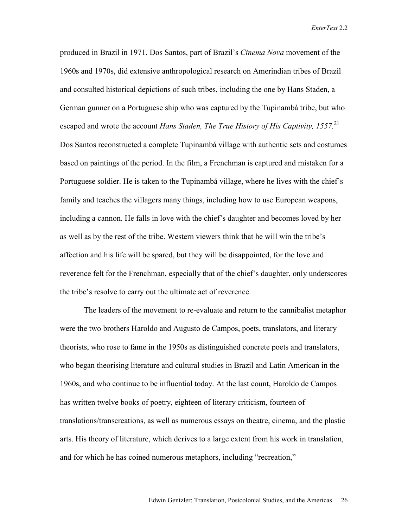produced in Brazil in 1971. Dos Santos, part of Brazil's *Cinema Nova* movement of the 1960s and 1970s, did extensive anthropological research on Amerindian tribes of Brazil and consulted historical depictions of such tribes, including the one by Hans Staden, a German gunner on a Portuguese ship who was captured by the Tupinambá tribe, but who escaped and wrote the account *Hans Staden, The True History of His Captivity, 1557.*<sup>21</sup> Dos Santos reconstructed a complete Tupinambá village with authentic sets and costumes based on paintings of the period. In the film, a Frenchman is captured and mistaken for a Portuguese soldier. He is taken to the Tupinambá village, where he lives with the chief's family and teaches the villagers many things, including how to use European weapons, including a cannon. He falls in love with the chief's daughter and becomes loved by her as well as by the rest of the tribe. Western viewers think that he will win the tribe's affection and his life will be spared, but they will be disappointed, for the love and reverence felt for the Frenchman, especially that of the chief's daughter, only underscores the tribe's resolve to carry out the ultimate act of reverence.

The leaders of the movement to re-evaluate and return to the cannibalist metaphor were the two brothers Haroldo and Augusto de Campos, poets, translators, and literary theorists, who rose to fame in the 1950s as distinguished concrete poets and translators, who began theorising literature and cultural studies in Brazil and Latin American in the 1960s, and who continue to be influential today. At the last count, Haroldo de Campos has written twelve books of poetry, eighteen of literary criticism, fourteen of translations/transcreations, as well as numerous essays on theatre, cinema, and the plastic arts. His theory of literature, which derives to a large extent from his work in translation, and for which he has coined numerous metaphors, including "recreation,"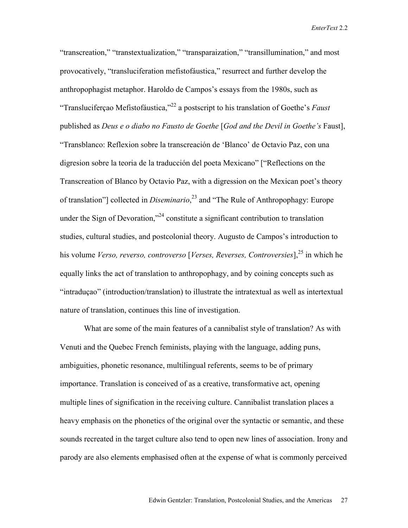"transcreation," "transtextualization," "transparaization," "transillumination," and most provocatively, "transluciferation mefistofáustica," resurrect and further develop the anthropophagist metaphor. Haroldo de Campos's essays from the 1980s, such as "Transluciferçao Mefistofáustica,"22 a postscript to his translation of Goethe's *Faust* published as *Deus e o diabo no Fausto de Goethe* [*God and the Devil in Goethe's* Faust], "Transblanco: Reflexion sobre la transcreación de 'Blanco' de Octavio Paz, con una digresion sobre la teoria de la traducción del poeta Mexicano" ["Reflections on the Transcreation of Blanco by Octavio Paz, with a digression on the Mexican poet's theory of translation"] collected in *Diseminario*, 23 and "The Rule of Anthropophagy: Europe under the Sign of Devoration,"<sup>24</sup> constitute a significant contribution to translation studies, cultural studies, and postcolonial theory. Augusto de Campos's introduction to his volume *Verso, reverso, controverso* [*Verses, Reverses, Controversies*],<sup>25</sup> in which he equally links the act of translation to anthropophagy, and by coining concepts such as "intraduçao" (introduction/translation) to illustrate the intratextual as well as intertextual nature of translation, continues this line of investigation.

What are some of the main features of a cannibalist style of translation? As with Venuti and the Quebec French feminists, playing with the language, adding puns, ambiguities, phonetic resonance, multilingual referents, seems to be of primary importance. Translation is conceived of as a creative, transformative act, opening multiple lines of signification in the receiving culture. Cannibalist translation places a heavy emphasis on the phonetics of the original over the syntactic or semantic, and these sounds recreated in the target culture also tend to open new lines of association. Irony and parody are also elements emphasised often at the expense of what is commonly perceived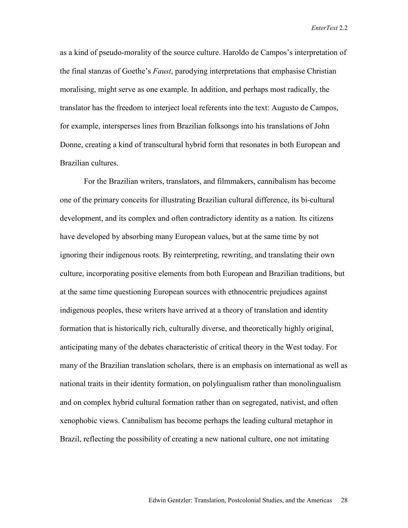as a kind of pseudo-morality of the source culture. Haroldo de Campos's interpretation of the final stanzas of Goethe's *Faust*, parodying interpretations that emphasise Christian moralising, might serve as one example. In addition, and perhaps most radically, the translator has the freedom to interject local referents into the text: Augusto de Campos, for example, intersperses lines from Brazilian folksongs into his translations of John Donne, creating a kind of transcultural hybrid form that resonates in both European and Brazilian cultures.

For the Brazilian writers, translators, and filmmakers, cannibalism has become one of the primary conceits for illustrating Brazilian cultural difference, its bi-cultural development, and its complex and often contradictory identity as a nation. Its citizens have developed by absorbing many European values, but at the same time by not ignoring their indigenous roots. By reinterpreting, rewriting, and translating their own culture, incorporating positive elements from both European and Brazilian traditions, but at the same time questioning European sources with ethnocentric prejudices against indigenous peoples, these writers have arrived at a theory of translation and identity formation that is historically rich, culturally diverse, and theoretically highly original, anticipating many of the debates characteristic of critical theory in the West today. For many of the Brazilian translation scholars, there is an emphasis on international as well as national traits in their identity formation, on polylingualism rather than monolingualism and on complex hybrid cultural formation rather than on segregated, nativist, and often xenophobic views. Cannibalism has become perhaps the leading cultural metaphor in Brazil, reflecting the possibility of creating a new national culture, one not imitating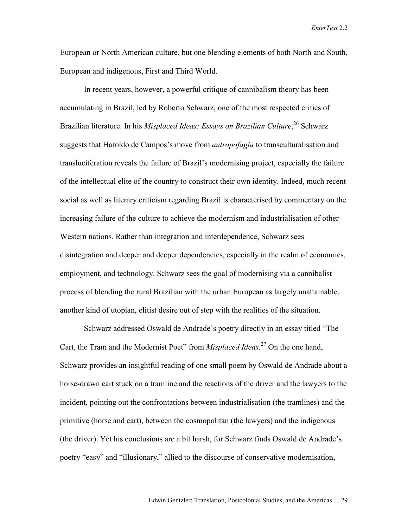European or North American culture, but one blending elements of both North and South, European and indigenous, First and Third World.

In recent years, however, a powerful critique of cannibalism theory has been accumulating in Brazil, led by Roberto Schwarz, one of the most respected critics of Brazilian literature. In his *Misplaced Ideas: Essays on Brazilian Culture*, 26 Schwarz suggests that Haroldo de Campos's move from *antropofagia* to transculturalisation and transluciferation reveals the failure of Brazil's modernising project, especially the failure of the intellectual elite of the country to construct their own identity. Indeed, much recent social as well as literary criticism regarding Brazil is characterised by commentary on the increasing failure of the culture to achieve the modernism and industrialisation of other Western nations. Rather than integration and interdependence, Schwarz sees disintegration and deeper and deeper dependencies, especially in the realm of economics, employment, and technology. Schwarz sees the goal of modernising via a cannibalist process of blending the rural Brazilian with the urban European as largely unattainable, another kind of utopian, elitist desire out of step with the realities of the situation.

Schwarz addressed Oswald de Andrade's poetry directly in an essay titled "The Cart, the Tram and the Modernist Poet" from *Misplaced Ideas*. 27 On the one hand, Schwarz provides an insightful reading of one small poem by Oswald de Andrade about a horse-drawn cart stuck on a tramline and the reactions of the driver and the lawyers to the incident, pointing out the confrontations between industrialisation (the tramlines) and the primitive (horse and cart), between the cosmopolitan (the lawyers) and the indigenous (the driver). Yet his conclusions are a bit harsh, for Schwarz finds Oswald de Andrade's poetry "easy" and "illusionary," allied to the discourse of conservative modernisation,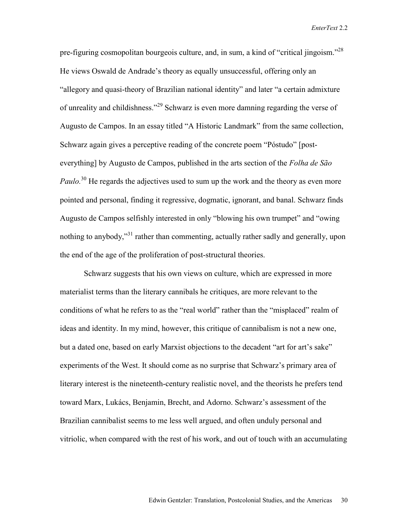pre-figuring cosmopolitan bourgeois culture, and, in sum, a kind of "critical jingoism."28 He views Oswald de Andrade's theory as equally unsuccessful, offering only an "allegory and quasi-theory of Brazilian national identity" and later "a certain admixture of unreality and childishness."29 Schwarz is even more damning regarding the verse of Augusto de Campos. In an essay titled "A Historic Landmark" from the same collection, Schwarz again gives a perceptive reading of the concrete poem "Póstudo" [posteverything] by Augusto de Campos, published in the arts section of the *Folha de São Paulo.*<sup>30</sup> He regards the adjectives used to sum up the work and the theory as even more pointed and personal, finding it regressive, dogmatic, ignorant, and banal. Schwarz finds Augusto de Campos selfishly interested in only "blowing his own trumpet" and "owing nothing to anybody,"<sup>31</sup> rather than commenting, actually rather sadly and generally, upon the end of the age of the proliferation of post-structural theories.

Schwarz suggests that his own views on culture, which are expressed in more materialist terms than the literary cannibals he critiques, are more relevant to the conditions of what he refers to as the "real world" rather than the "misplaced" realm of ideas and identity. In my mind, however, this critique of cannibalism is not a new one, but a dated one, based on early Marxist objections to the decadent "art for art's sake" experiments of the West. It should come as no surprise that Schwarz's primary area of literary interest is the nineteenth-century realistic novel, and the theorists he prefers tend toward Marx, Lukács, Benjamin, Brecht, and Adorno. Schwarz's assessment of the Brazilian cannibalist seems to me less well argued, and often unduly personal and vitriolic, when compared with the rest of his work, and out of touch with an accumulating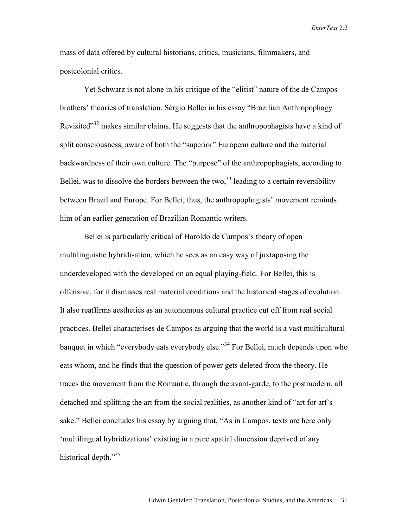mass of data offered by cultural historians, critics, musicians, filmmakers, and postcolonial critics.

 Yet Schwarz is not alone in his critique of the "elitist" nature of the de Campos brothers' theories of translation. Sérgio Bellei in his essay "Brazilian Anthropophagy Revisited"<sup>32</sup> makes similar claims. He suggests that the anthropophagists have a kind of split consciousness, aware of both the "superior" European culture and the material backwardness of their own culture. The "purpose" of the anthropophagists, according to Bellei, was to dissolve the borders between the two.<sup>33</sup> leading to a certain reversibility between Brazil and Europe. For Bellei, thus, the anthropophagists' movement reminds him of an earlier generation of Brazilian Romantic writers.

Bellei is particularly critical of Haroldo de Campos's theory of open multilinguistic hybridisation, which he sees as an easy way of juxtaposing the underdeveloped with the developed on an equal playing-field. For Bellei, this is offensive, for it dismisses real material conditions and the historical stages of evolution. It also reaffirms aesthetics as an autonomous cultural practice cut off from real social practices. Bellei characterises de Campos as arguing that the world is a vast multicultural banquet in which "everybody eats everybody else."34 For Bellei, much depends upon who eats whom, and he finds that the question of power gets deleted from the theory. He traces the movement from the Romantic, through the avant-garde, to the postmodern, all detached and splitting the art from the social realities, as another kind of "art for art's sake." Bellei concludes his essay by arguing that, "As in Campos, texts are here only 'multilingual hybridizations' existing in a pure spatial dimension deprived of any historical depth."<sup>35</sup>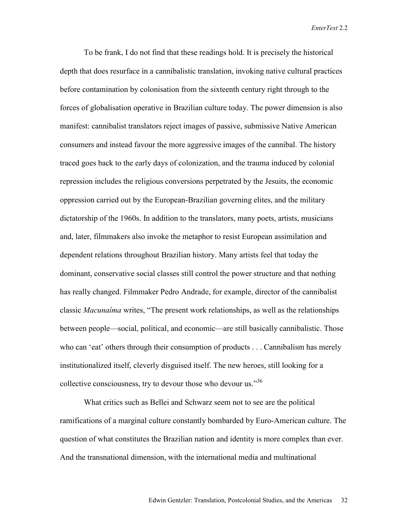To be frank, I do not find that these readings hold. It is precisely the historical depth that does resurface in a cannibalistic translation, invoking native cultural practices before contamination by colonisation from the sixteenth century right through to the forces of globalisation operative in Brazilian culture today. The power dimension is also manifest: cannibalist translators reject images of passive, submissive Native American consumers and instead favour the more aggressive images of the cannibal. The history traced goes back to the early days of colonization, and the trauma induced by colonial repression includes the religious conversions perpetrated by the Jesuits, the economic oppression carried out by the European-Brazilian governing elites, and the military dictatorship of the 1960s. In addition to the translators, many poets, artists, musicians and, later, filmmakers also invoke the metaphor to resist European assimilation and dependent relations throughout Brazilian history. Many artists feel that today the dominant, conservative social classes still control the power structure and that nothing has really changed. Filmmaker Pedro Andrade, for example, director of the cannibalist classic *Macunaíma* writes, "The present work relationships, as well as the relationships between people—social, political, and economic—are still basically cannibalistic. Those who can 'eat' others through their consumption of products . . . Cannibalism has merely institutionalized itself, cleverly disguised itself. The new heroes, still looking for a collective consciousness, try to devour those who devour us."<sup>36</sup>

What critics such as Bellei and Schwarz seem not to see are the political ramifications of a marginal culture constantly bombarded by Euro-American culture. The question of what constitutes the Brazilian nation and identity is more complex than ever. And the transnational dimension, with the international media and multinational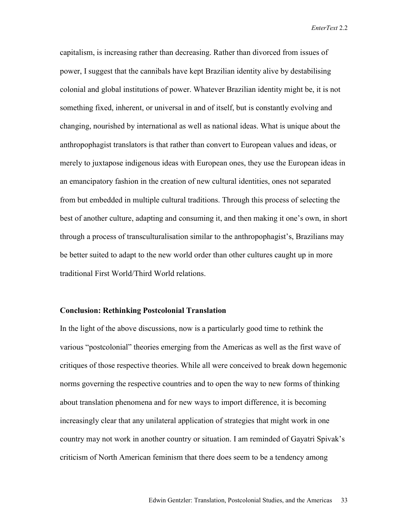capitalism, is increasing rather than decreasing. Rather than divorced from issues of power, I suggest that the cannibals have kept Brazilian identity alive by destabilising colonial and global institutions of power. Whatever Brazilian identity might be, it is not something fixed, inherent, or universal in and of itself, but is constantly evolving and changing, nourished by international as well as national ideas. What is unique about the anthropophagist translators is that rather than convert to European values and ideas, or merely to juxtapose indigenous ideas with European ones, they use the European ideas in an emancipatory fashion in the creation of new cultural identities, ones not separated from but embedded in multiple cultural traditions. Through this process of selecting the best of another culture, adapting and consuming it, and then making it one's own, in short through a process of transculturalisation similar to the anthropophagist's, Brazilians may be better suited to adapt to the new world order than other cultures caught up in more traditional First World/Third World relations.

#### **Conclusion: Rethinking Postcolonial Translation**

In the light of the above discussions, now is a particularly good time to rethink the various "postcolonial" theories emerging from the Americas as well as the first wave of critiques of those respective theories. While all were conceived to break down hegemonic norms governing the respective countries and to open the way to new forms of thinking about translation phenomena and for new ways to import difference, it is becoming increasingly clear that any unilateral application of strategies that might work in one country may not work in another country or situation. I am reminded of Gayatri Spivak's criticism of North American feminism that there does seem to be a tendency among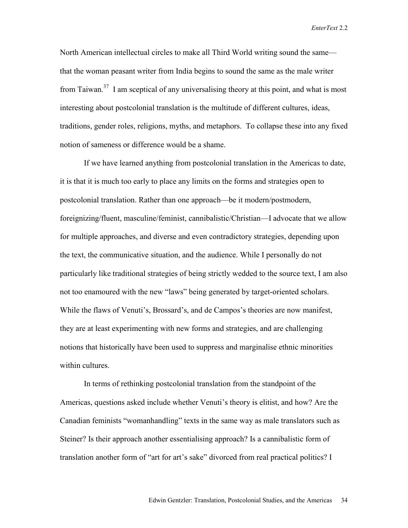North American intellectual circles to make all Third World writing sound the same that the woman peasant writer from India begins to sound the same as the male writer from Taiwan.<sup>37</sup> I am sceptical of any universalising theory at this point, and what is most interesting about postcolonial translation is the multitude of different cultures, ideas, traditions, gender roles, religions, myths, and metaphors. To collapse these into any fixed notion of sameness or difference would be a shame.

 If we have learned anything from postcolonial translation in the Americas to date, it is that it is much too early to place any limits on the forms and strategies open to postcolonial translation. Rather than one approach—be it modern/postmodern, foreignizing/fluent, masculine/feminist, cannibalistic/Christian—I advocate that we allow for multiple approaches, and diverse and even contradictory strategies, depending upon the text, the communicative situation, and the audience. While I personally do not particularly like traditional strategies of being strictly wedded to the source text, I am also not too enamoured with the new "laws" being generated by target-oriented scholars. While the flaws of Venuti's, Brossard's, and de Campos's theories are now manifest, they are at least experimenting with new forms and strategies, and are challenging notions that historically have been used to suppress and marginalise ethnic minorities within cultures

 In terms of rethinking postcolonial translation from the standpoint of the Americas, questions asked include whether Venuti's theory is elitist, and how? Are the Canadian feminists "womanhandling" texts in the same way as male translators such as Steiner? Is their approach another essentialising approach? Is a cannibalistic form of translation another form of "art for art's sake" divorced from real practical politics? I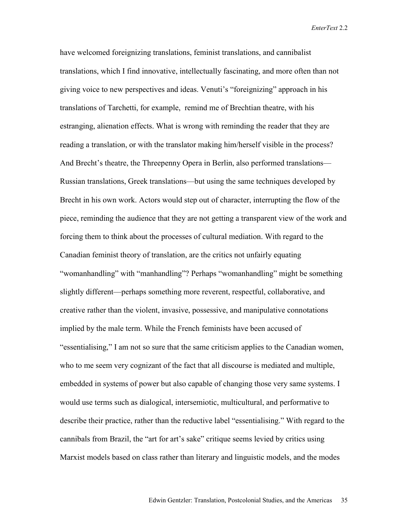have welcomed foreignizing translations, feminist translations, and cannibalist translations, which I find innovative, intellectually fascinating, and more often than not giving voice to new perspectives and ideas. Venuti's "foreignizing" approach in his translations of Tarchetti, for example, remind me of Brechtian theatre, with his estranging, alienation effects. What is wrong with reminding the reader that they are reading a translation, or with the translator making him/herself visible in the process? And Brecht's theatre, the Threepenny Opera in Berlin, also performed translations— Russian translations, Greek translations—but using the same techniques developed by Brecht in his own work. Actors would step out of character, interrupting the flow of the piece, reminding the audience that they are not getting a transparent view of the work and forcing them to think about the processes of cultural mediation. With regard to the Canadian feminist theory of translation, are the critics not unfairly equating "womanhandling" with "manhandling"? Perhaps "womanhandling" might be something slightly different—perhaps something more reverent, respectful, collaborative, and creative rather than the violent, invasive, possessive, and manipulative connotations implied by the male term. While the French feminists have been accused of "essentialising," I am not so sure that the same criticism applies to the Canadian women, who to me seem very cognizant of the fact that all discourse is mediated and multiple, embedded in systems of power but also capable of changing those very same systems. I would use terms such as dialogical, intersemiotic, multicultural, and performative to describe their practice, rather than the reductive label "essentialising." With regard to the cannibals from Brazil, the "art for art's sake" critique seems levied by critics using Marxist models based on class rather than literary and linguistic models, and the modes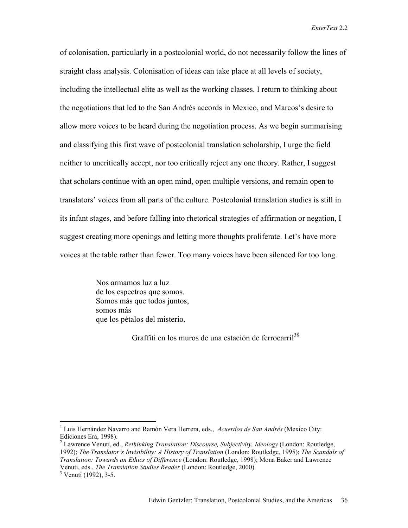of colonisation, particularly in a postcolonial world, do not necessarily follow the lines of straight class analysis. Colonisation of ideas can take place at all levels of society, including the intellectual elite as well as the working classes. I return to thinking about the negotiations that led to the San Andrés accords in Mexico, and Marcos's desire to allow more voices to be heard during the negotiation process. As we begin summarising and classifying this first wave of postcolonial translation scholarship, I urge the field neither to uncritically accept, nor too critically reject any one theory. Rather, I suggest that scholars continue with an open mind, open multiple versions, and remain open to translators' voices from all parts of the culture. Postcolonial translation studies is still in its infant stages, and before falling into rhetorical strategies of affirmation or negation, I suggest creating more openings and letting more thoughts proliferate. Let's have more voices at the table rather than fewer. Too many voices have been silenced for too long.

> Nos armamos luz a luz de los espectros que somos. Somos más que todos juntos, somos más que los pétalos del misterio.

> > Graffiti en los muros de una estación de ferrocarril<sup>38</sup>

 $\overline{a}$ 

<sup>1</sup> Luis Hernández Navarro and Ramón Vera Herrera, eds., *Acuerdos de San Andrés* (Mexico City: Ediciones Era, 1998).

<sup>2</sup> Lawrence Venuti, ed., *Rethinking Translation: Discourse, Subjectivity, Ideology* (London: Routledge, 1992); *The Translator's Invisibility: A History of Translation* (London: Routledge, 1995); *The Scandals of Translation: Towards an Ethics of Difference* (London: Routledge, 1998); Mona Baker and Lawrence Venuti, eds., *The Translation Studies Reader* (London: Routledge, 2000). 3

 $3$  Venuti (1992), 3-5.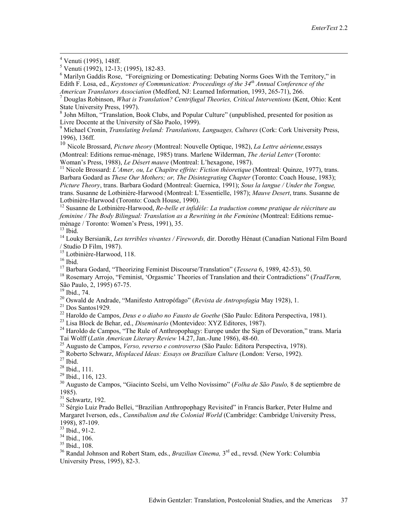<sup>6</sup> Marilyn Gaddis Rose, "Foreignizing or Domesticating: Debating Norms Goes With the Territory," in Edith F. Losa, ed., *Keystones of Communication: Proceedings of the 34th Annual Conference of the American Translators Association* (Medford, NJ: Learned Information, 1993, 265-71), 266. 7

 Douglas Robinson, *What is Translation? Centrifugal Theories, Critical Interventions* (Kent, Ohio: Kent State University Press, 1997).

<sup>8</sup> John Milton, "Translation, Book Clubs, and Popular Culture" (unpublished, presented for position as Livre Docente at the University of São Paolo, 1999).

<sup>9</sup> Michael Cronin, *Translating Ireland: Translations, Languages, Cultures (Cork: Cork University Press,* 1996), 136ff.

<sup>10</sup> Nicole Brossard, *Picture theory* (Montreal: Nouvelle Optique, 1982), *La Lettre aérienne,*essays (Montreal: Editions remue-ménage, 1985) trans. Marlene Wilderman, *The Aerial Letter* (Toronto:

<sup>11</sup> Nicole Brossard: *L'Amer, ou, Le Chapître effrite: Fiction théoretique* (Montreal: Quinze, 1977), trans. Barbara Godard as *These Our Mothers; or, The Disintegrating Chapter* (Toronto: Coach House, 1983); *Picture Theory*, trans. Barbara Godard (Montreal: Guernica, 1991); *Sous la langue / Under the Tongue,*  trans. Susanne de Lotbinière-Harwood (Montreal: L'Essentielle, 1987); *Mauve Desert*, trans. Susanne de Lotbinière-Harwood (Toronto: Coach House, 1990).

<sup>12</sup> Susanne de Lotbinière-Harwood, *Re-belle et infidèle: La traduction comme pratique de réécriture au feminine / The Body Bilingual: Translation as a Rewriting in the Feminine* (Montreal: Editions remueménage / Toronto: Women's Press, 1991), 35.

 $^{13}$  Ibid.

14 Louky Bersianik, *Les terribles vivantes / Firewords,* dir. Dorothy Hénaut (Canadian National Film Board / Studio D Film, 1987). 15 Lotbinière-Harwood, 118.

<sup>16</sup> Ibid.<br><sup>17</sup> Barbara Godard, "Theorizing Feminist Discourse/Translation" (*Tessera* 6, 1989, 42-53), 50.

<sup>18</sup> Rosemary Arrojo, "Feminist, 'Orgasmic' Theories of Translation and their Contradictions" (*TradTerm*, São Paulo, 2, 1995) 67-75.

<sup>19</sup> Ibid., 74.<br><sup>20</sup> Oswald de Andrade, "Manifesto Antropófago" (*Revista de Antropofagia* May 1928), 1.

<sup>21</sup> Dos Santos 1929.<br>
<sup>22</sup> Haroldo de Campos, *Deus e o diabo no Fausto de Goethe* (São Paulo: Editora Perspectiva, 1981).<br>
<sup>23</sup> Lisa Block de Behar, ed., *Diseminario* (Montevideo: XYZ Editores, 1987).<br>
<sup>24</sup> Haroldo de

<sup>25</sup> Augusto de Campos, *Verso, reverso e controverso* (São Paulo: Editora Perspectiva, 1978).<br><sup>26</sup> Roberto Schwarz, *Misplaced Ideas: Essays on Brazilian Culture* (London: Verso, 1992).<br><sup>27</sup> Ibid

 $28$  Ibid., 111.

 $^{29}$  Ibid., 116, 123.

30 Augusto de Campos, "Giacinto Scelsi, um Velho Novíssimo" (*Folha de São Paulo,* 8 de septiembre de 1985).

 $31$  Schwartz, 192.

<sup>32</sup> Sérgio Luiz Prado Bellei, "Brazilian Anthropophagy Revisited" in Francis Barker, Peter Hulme and Margaret Iverson, eds., *Cannibalism and the Colonial World* (Cambridge: Cambridge University Press, 1998), 87-109.

33 Ibid., 91-2.

 $34$  Ibid., 106.

 $35$  Ibid., 108.

36 Randal Johnson and Robert Stam, eds., *Brazilian Cinema,* 3rd ed., revsd. (New York: Columbia University Press, 1995), 82-3.

 $\frac{1}{4}$ Venuti (1995), 148ff.

<sup>5</sup> Venuti (1992), 12-13; (1995), 182-83.